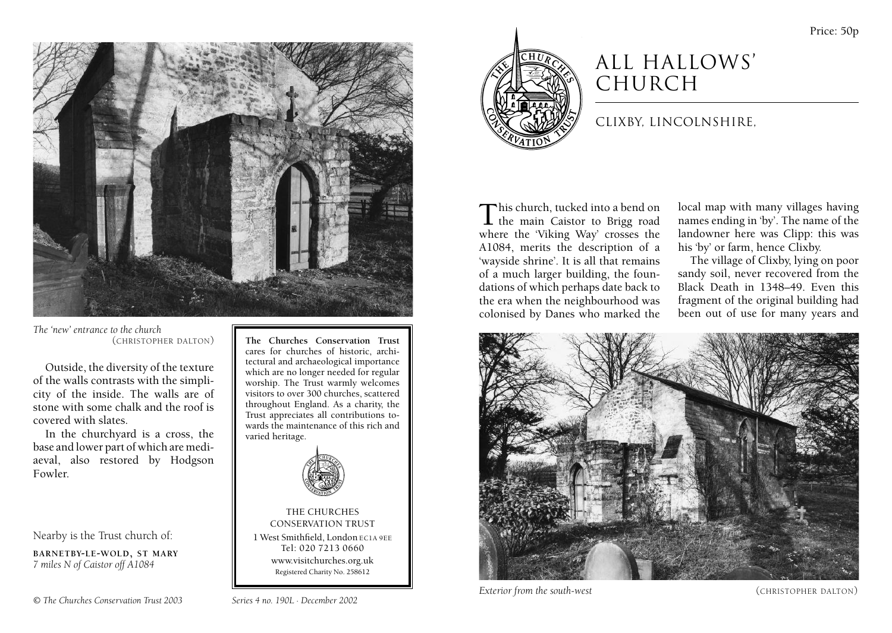

*The 'new' entrance to the church* (CHRISTOPHER DALTON)

Outside, the diversity of the texture of the walls contrasts with the simplicity of the inside. The walls are of stone with some chalk and the roof is covered with slates.

In the churchyard is a cross, the base and lower part of which are mediaeval, also restored by Hodgson Fowler.

Nearby is the Trust church of:

**BARNETBY-LE-WOLD, ST MARY** *7 miles N of Caistor off A1084*

**The Churches Conservation Trust** cares for churches of historic, architectural and archaeological importance which are no longer needed for regular worship. The Trust warmly welcomes visitors to over 300 churches, scattered throughout England. As a charity, the Trust appreciates all contributions towards the maintenance of this rich and varied heritage.



THE CHURCHES CONSERVATION TRUST 1 West Smithfield, London EC1A 9EE Tel: 020 7213 0660 www.visitchurches.org.uk Registered Charity No. 258612



## all hallows' **CHURCH**

## clixby, lincolnshire,

This church, tucked into a bend on<br>the main Caistor to Brigg road where the 'Viking Way' crosses the A1084, merits the description of a 'wayside shrine'. It is all that remains of a much larger building, the foundations of which perhaps date back to the era when the neighbourhood was colonised by Danes who marked the

local map with many villages having names ending in 'by'. The name of the landowner here was Clipp: this was his 'by' or farm, hence Clixby.

The village of Clixby, lying on poor sandy soil, never recovered from the Black Death in 1348–49. Even this fragment of the original building had been out of use for many years and



**Exterior** from the south-west (CHRISTOPHER DALTON)